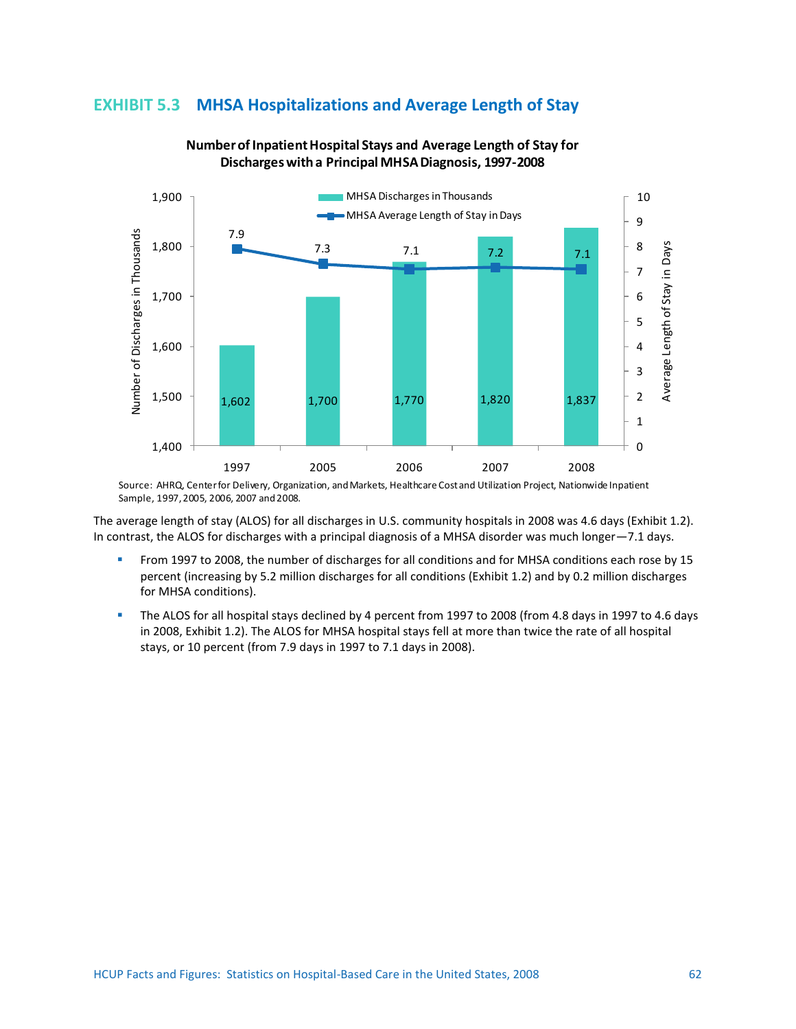## **EXHIBIT 5.3 MHSA Hospitalizations and Average Length of Stay**



## **Number of Inpatient Hospital Stays and Average Length of Stay for Discharges with a Principal MHSA Diagnosis, 1997-2008**

Source: AHRQ, Center for Delivery, Organization, and Markets, Healthcare Cost and Utilization Project, Nationwide Inpatient Sample, 1997, 2005, 2006, 2007 and 2008.

The average length of stay (ALOS) for all discharges in U.S. community hospitals in 2008 was 4.6 days (Exhibit 1.2). In contrast, the ALOS for discharges with a principal diagnosis of a MHSA disorder was much longer—7.1 days.

- From 1997 to 2008, the number of discharges for all conditions and for MHSA conditions each rose by 15 percent (increasing by 5.2 million discharges for all conditions (Exhibit 1.2) and by 0.2 million discharges for MHSA conditions).
- The ALOS for all hospital stays declined by 4 percent from 1997 to 2008 (from 4.8 days in 1997 to 4.6 days in 2008, Exhibit 1.2). The ALOS for MHSA hospital stays fell at more than twice the rate of all hospital stays, or 10 percent (from 7.9 days in 1997 to 7.1 days in 2008).